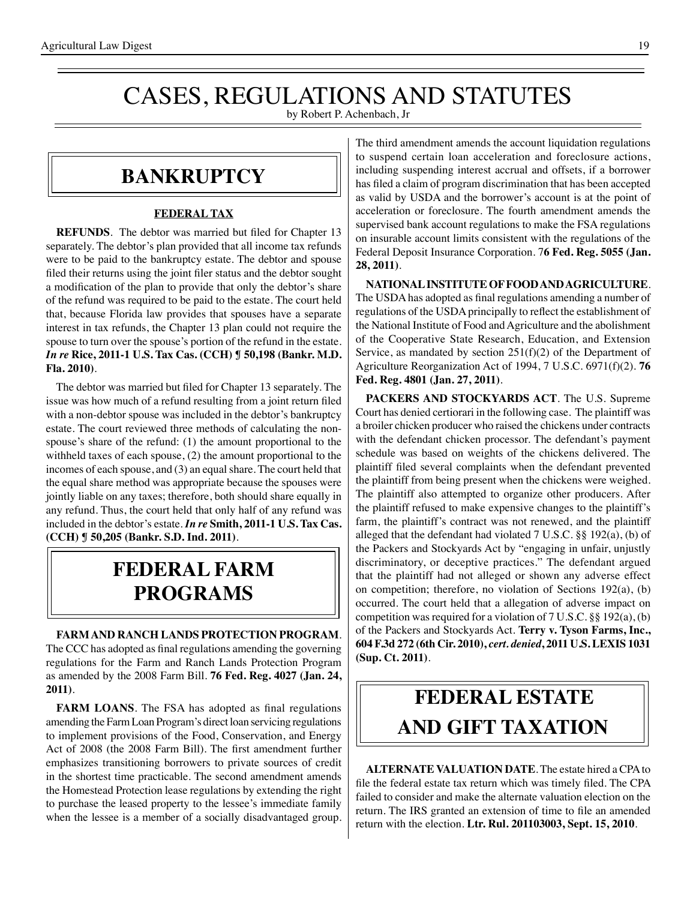## CASES, REGULATIONS AND STATUTES

by Robert P. Achenbach, Jr

#### **bankruptcy**

#### **FEDERAL TAX**

**REFUNDS**. The debtor was married but filed for Chapter 13 separately. The debtor's plan provided that all income tax refunds were to be paid to the bankruptcy estate. The debtor and spouse filed their returns using the joint filer status and the debtor sought a modification of the plan to provide that only the debtor's share of the refund was required to be paid to the estate. The court held that, because Florida law provides that spouses have a separate interest in tax refunds, the Chapter 13 plan could not require the spouse to turn over the spouse's portion of the refund in the estate. *In re* **Rice, 2011-1 U.S. Tax Cas. (CCH) ¶ 50,198 (Bankr. M.D. Fla. 2010)**.

 The debtor was married but filed for Chapter 13 separately. The issue was how much of a refund resulting from a joint return filed with a non-debtor spouse was included in the debtor's bankruptcy estate. The court reviewed three methods of calculating the nonspouse's share of the refund: (1) the amount proportional to the withheld taxes of each spouse, (2) the amount proportional to the incomes of each spouse, and (3) an equal share. The court held that the equal share method was appropriate because the spouses were jointly liable on any taxes; therefore, both should share equally in any refund. Thus, the court held that only half of any refund was included in the debtor's estate. *In re* **Smith, 2011-1 U.S. Tax Cas. (CCH) ¶ 50,205 (Bankr. S.D. Ind. 2011)**.

### **federal FARM PROGRAMS**

**FARM AND RANCH LANDS PROTECTION PROGRAM**. The CCC has adopted as final regulations amending the governing regulations for the Farm and Ranch Lands Protection Program as amended by the 2008 Farm Bill. **76 Fed. Reg. 4027 (Jan. 24, 2011)**.

**FARM LOANS**. The FSA has adopted as final regulations amending the Farm Loan Program's direct loan servicing regulations to implement provisions of the Food, Conservation, and Energy Act of 2008 (the 2008 Farm Bill). The first amendment further emphasizes transitioning borrowers to private sources of credit in the shortest time practicable. The second amendment amends the Homestead Protection lease regulations by extending the right to purchase the leased property to the lessee's immediate family when the lessee is a member of a socially disadvantaged group.

The third amendment amends the account liquidation regulations to suspend certain loan acceleration and foreclosure actions, including suspending interest accrual and offsets, if a borrower has filed a claim of program discrimination that has been accepted as valid by USDA and the borrower's account is at the point of acceleration or foreclosure. The fourth amendment amends the supervised bank account regulations to make the FSA regulations on insurable account limits consistent with the regulations of the Federal Deposit Insurance Corporation. 7**6 Fed. Reg. 5055 (Jan. 28, 2011)**.

**NATIONAL INSTITUTE OF FOOD AND AGRICULTURE**. The USDA has adopted as final regulations amending a number of regulations of the USDAprincipally to reflect the establishment of the National Institute of Food and Agriculture and the abolishment of the Cooperative State Research, Education, and Extension Service, as mandated by section 251(f)(2) of the Department of Agriculture Reorganization Act of 1994, 7 U.S.C. 6971(f)(2). **76 Fed. Reg. 4801 (Jan. 27, 2011)**.

**PACKERS AND STOCKYARDS ACT**. The U.S. Supreme Court has denied certiorari in the following case. The plaintiff was a broiler chicken producer who raised the chickens under contracts with the defendant chicken processor. The defendant's payment schedule was based on weights of the chickens delivered. The plaintiff filed several complaints when the defendant prevented the plaintiff from being present when the chickens were weighed. The plaintiff also attempted to organize other producers. After the plaintiff refused to make expensive changes to the plaintiff's farm, the plaintiff's contract was not renewed, and the plaintiff alleged that the defendant had violated 7 U.S.C. §§ 192(a), (b) of the Packers and Stockyards Act by "engaging in unfair, unjustly discriminatory, or deceptive practices." The defendant argued that the plaintiff had not alleged or shown any adverse effect on competition; therefore, no violation of Sections 192(a), (b) occurred. The court held that a allegation of adverse impact on competition was required for a violation of 7 U.S.C. §§ 192(a), (b) of the Packers and Stockyards Act. **Terry v. Tyson Farms, Inc., 604 F.3d 272 (6th Cir. 2010),** *cert. denied***, 2011 U.S. LEXIS 1031 (Sup. Ct. 2011)**.

## **FEDERAL ESTATE AND GIFT taxation**

**ALTERNATE VALUATION DATE**. The estate hired a CPA to file the federal estate tax return which was timely filed. The CPA failed to consider and make the alternate valuation election on the return. The IRS granted an extension of time to file an amended return with the election. **Ltr. Rul. 201103003, Sept. 15, 2010**.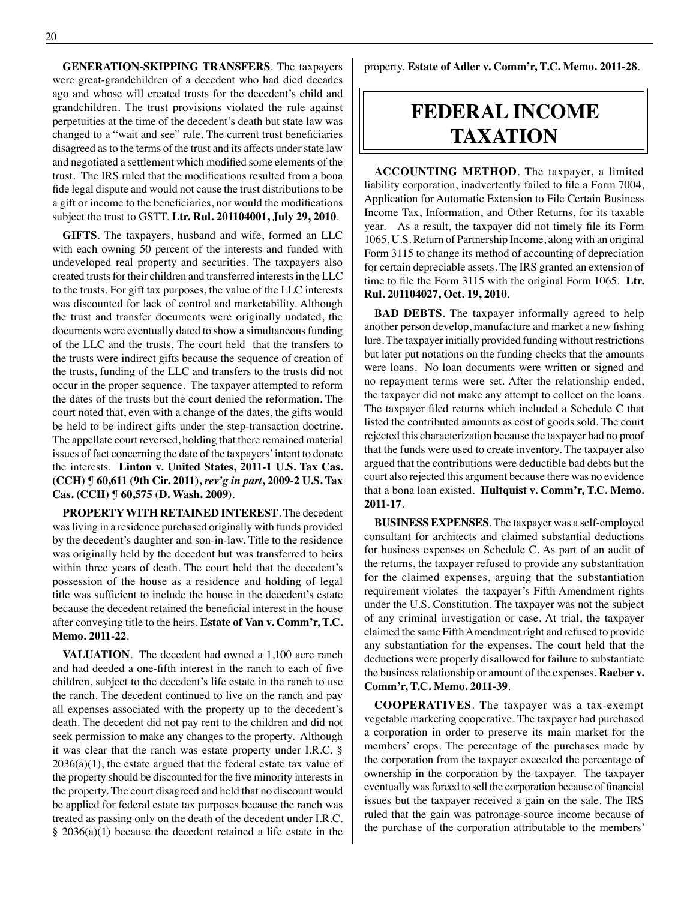**GENERATION-SKIPPING TRANSFERS**. The taxpayers were great-grandchildren of a decedent who had died decades ago and whose will created trusts for the decedent's child and grandchildren. The trust provisions violated the rule against perpetuities at the time of the decedent's death but state law was changed to a "wait and see" rule. The current trust beneficiaries disagreed as to the terms of the trust and its affects under state law and negotiated a settlement which modified some elements of the trust. The IRS ruled that the modifications resulted from a bona fide legal dispute and would not cause the trust distributionsto be a gift or income to the beneficiaries, nor would the modifications subject the trust to GSTT. **Ltr. Rul. 201104001, July 29, 2010**.

**GIFTS**. The taxpayers, husband and wife, formed an LLC with each owning 50 percent of the interests and funded with undeveloped real property and securities. The taxpayers also created trusts for their children and transferred interests in the LLC to the trusts. For gift tax purposes, the value of the LLC interests was discounted for lack of control and marketability. Although the trust and transfer documents were originally undated, the documents were eventually dated to show a simultaneous funding of the LLC and the trusts. The court held that the transfers to the trusts were indirect gifts because the sequence of creation of the trusts, funding of the LLC and transfers to the trusts did not occur in the proper sequence. The taxpayer attempted to reform the dates of the trusts but the court denied the reformation. The court noted that, even with a change of the dates, the gifts would be held to be indirect gifts under the step-transaction doctrine. The appellate court reversed, holding that there remained material issues of fact concerning the date of the taxpayers' intent to donate the interests. **Linton v. United States, 2011-1 U.S. Tax Cas. (CCH) ¶ 60,611 (9th Cir. 2011),** *rev'g in part***, 2009-2 U.S. Tax Cas. (CCH) ¶ 60,575 (D. Wash. 2009)**.

**PROPERTY WITH RETAINED INTEREST**. The decedent was living in a residence purchased originally with funds provided by the decedent's daughter and son-in-law. Title to the residence was originally held by the decedent but was transferred to heirs within three years of death. The court held that the decedent's possession of the house as a residence and holding of legal title was sufficient to include the house in the decedent's estate because the decedent retained the beneficial interest in the house after conveying title to the heirs. **Estate of Van v. Comm'r, T.C. Memo. 2011-22**.

**VALUATION**. The decedent had owned a 1,100 acre ranch and had deeded a one-fifth interest in the ranch to each of five children, subject to the decedent's life estate in the ranch to use the ranch. The decedent continued to live on the ranch and pay all expenses associated with the property up to the decedent's death. The decedent did not pay rent to the children and did not seek permission to make any changes to the property. Although it was clear that the ranch was estate property under I.R.C. §  $2036(a)(1)$ , the estate argued that the federal estate tax value of the property should be discounted for the five minority interests in the property. The court disagreed and held that no discount would be applied for federal estate tax purposes because the ranch was treated as passing only on the death of the decedent under I.R.C. § 2036(a)(1) because the decedent retained a life estate in the property. **Estate of Adler v. Comm'r, T.C. Memo. 2011-28**.

## **federal income taxation**

**ACCOUNTING METHOD**. The taxpayer, a limited liability corporation, inadvertently failed to file a Form 7004, Application for Automatic Extension to File Certain Business Income Tax, Information, and Other Returns, for its taxable year. As a result, the taxpayer did not timely file its Form 1065, U.S. Return of Partnership Income, along with an original Form 3115 to change its method of accounting of depreciation for certain depreciable assets. The IRS granted an extension of time to file the Form 3115 with the original Form 1065. **Ltr. Rul. 201104027, Oct. 19, 2010**.

**BAD DEBTS**. The taxpayer informally agreed to help another person develop, manufacture and market a new fishing lure. The taxpayer initially provided funding without restrictions but later put notations on the funding checks that the amounts were loans. No loan documents were written or signed and no repayment terms were set. After the relationship ended, the taxpayer did not make any attempt to collect on the loans. The taxpayer filed returns which included a Schedule C that listed the contributed amounts as cost of goods sold. The court rejected this characterization because the taxpayer had no proof that the funds were used to create inventory. The taxpayer also argued that the contributions were deductible bad debts but the court also rejected this argument because there was no evidence that a bona loan existed. **Hultquist v. Comm'r, T.C. Memo. 2011-17**.

**BUSINESS EXPENSES**. The taxpayer was a self-employed consultant for architects and claimed substantial deductions for business expenses on Schedule C. As part of an audit of the returns, the taxpayer refused to provide any substantiation for the claimed expenses, arguing that the substantiation requirement violates the taxpayer's Fifth Amendment rights under the U.S. Constitution. The taxpayer was not the subject of any criminal investigation or case. At trial, the taxpayer claimed the same Fifth Amendment right and refused to provide any substantiation for the expenses. The court held that the deductions were properly disallowed for failure to substantiate the business relationship or amount of the expenses. **Raeber v. Comm'r, T.C. Memo. 2011-39**.

**COOPERATIVES**. The taxpayer was a tax-exempt vegetable marketing cooperative. The taxpayer had purchased a corporation in order to preserve its main market for the members' crops. The percentage of the purchases made by the corporation from the taxpayer exceeded the percentage of ownership in the corporation by the taxpayer. The taxpayer eventually was forced to sell the corporation because of financial issues but the taxpayer received a gain on the sale. The IRS ruled that the gain was patronage-source income because of the purchase of the corporation attributable to the members'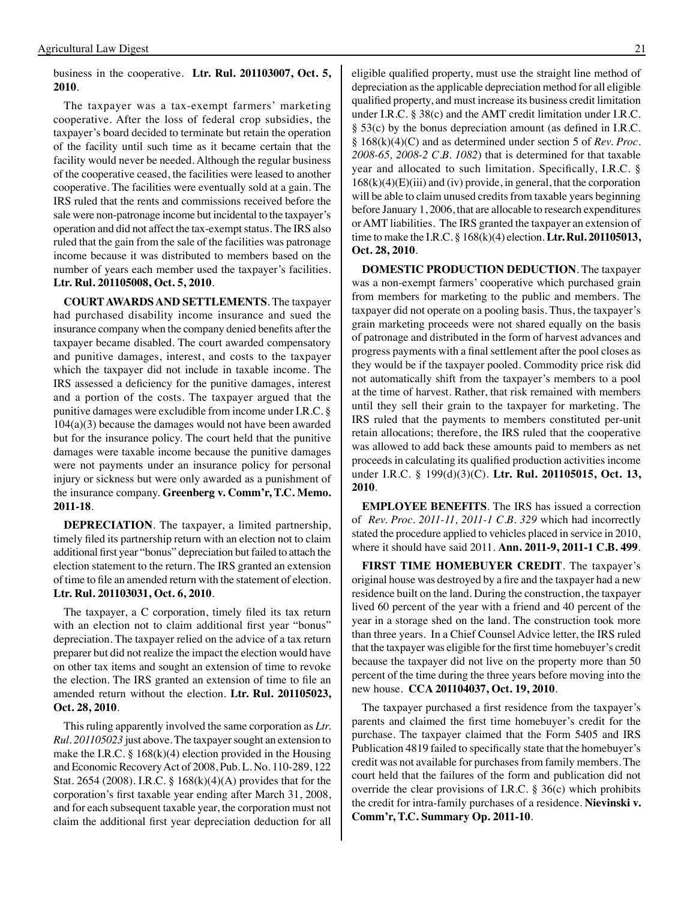#### business in the cooperative. **Ltr. Rul. 201103007, Oct. 5, 2010**.

The taxpayer was a tax-exempt farmers' marketing cooperative. After the loss of federal crop subsidies, the taxpayer's board decided to terminate but retain the operation of the facility until such time as it became certain that the facility would never be needed. Although the regular business of the cooperative ceased, the facilities were leased to another cooperative. The facilities were eventually sold at a gain. The IRS ruled that the rents and commissions received before the sale were non-patronage income but incidental to the taxpayer's operation and did not affect the tax-exempt status. The IRS also ruled that the gain from the sale of the facilities was patronage income because it was distributed to members based on the number of years each member used the taxpayer's facilities. **Ltr. Rul. 201105008, Oct. 5, 2010**.

**COURT AWARDS AND SETTLEMENTS**. The taxpayer had purchased disability income insurance and sued the insurance company when the company denied benefits after the taxpayer became disabled. The court awarded compensatory and punitive damages, interest, and costs to the taxpayer which the taxpayer did not include in taxable income. The IRS assessed a deficiency for the punitive damages, interest and a portion of the costs. The taxpayer argued that the punitive damages were excludible from income under I.R.C. § 104(a)(3) because the damages would not have been awarded but for the insurance policy. The court held that the punitive damages were taxable income because the punitive damages were not payments under an insurance policy for personal injury or sickness but were only awarded as a punishment of the insurance company. **Greenberg v. Comm'r, T.C. Memo. 2011-18**.

**DEPRECIATION**. The taxpayer, a limited partnership, timely filed its partnership return with an election not to claim additional first year "bonus" depreciation but failed to attach the election statement to the return. The IRS granted an extension of time to file an amended return with the statement of election. **Ltr. Rul. 201103031, Oct. 6, 2010**.

 The taxpayer, a C corporation, timely filed its tax return with an election not to claim additional first year "bonus" depreciation. The taxpayer relied on the advice of a tax return preparer but did not realize the impact the election would have on other tax items and sought an extension of time to revoke the election. The IRS granted an extension of time to file an amended return without the election. **Ltr. Rul. 201105023, Oct. 28, 2010**.

This ruling apparently involved the same corporation as *Ltr. Rul. 201105023* just above. The taxpayer sought an extension to make the I.R.C. § 168 $(k)(4)$  election provided in the Housing and Economic Recovery Act of 2008, Pub. L. No. 110-289, 122 Stat. 2654 (2008). I.R.C. § 168(k)(4)(A) provides that for the corporation's first taxable year ending after March 31, 2008, and for each subsequent taxable year, the corporation must not claim the additional first year depreciation deduction for all

eligible qualified property, must use the straight line method of depreciation as the applicable depreciation method for all eligible qualified property, and must increase its business credit limitation under I.R.C. § 38(c) and the AMT credit limitation under I.R.C. § 53(c) by the bonus depreciation amount (as defined in I.R.C. § 168(k)(4)(C) and as determined under section 5 of *Rev. Proc. 2008-65, 2008-2 C.B. 1082*) that is determined for that taxable year and allocated to such limitation. Specifically, I.R.C. §  $168(k)(4)(E)(iii)$  and (iv) provide, in general, that the corporation will be able to claim unused credits from taxable years beginning before January 1, 2006, that are allocable to research expenditures or AMT liabilities. The IRS granted the taxpayer an extension of time to make the I.R.C. § 168(k)(4) election. **Ltr. Rul. 201105013, Oct. 28, 2010**.

**DOMESTIC PRODUCTION DEDUCTION**. The taxpayer was a non-exempt farmers' cooperative which purchased grain from members for marketing to the public and members. The taxpayer did not operate on a pooling basis. Thus, the taxpayer's grain marketing proceeds were not shared equally on the basis of patronage and distributed in the form of harvest advances and progress payments with a final settlement after the pool closes as they would be if the taxpayer pooled. Commodity price risk did not automatically shift from the taxpayer's members to a pool at the time of harvest. Rather, that risk remained with members until they sell their grain to the taxpayer for marketing. The IRS ruled that the payments to members constituted per-unit retain allocations; therefore, the IRS ruled that the cooperative was allowed to add back these amounts paid to members as net proceeds in calculating its qualified production activities income under I.R.C. § 199(d)(3)(C). **Ltr. Rul. 201105015, Oct. 13, 2010**.

**EMPLOYEE BENEFITS**. The IRS has issued a correction of *Rev. Proc. 2011-11, 2011-1 C.B. 329* which had incorrectly stated the procedure applied to vehicles placed in service in 2010, where it should have said 2011. **Ann. 2011-9, 2011-1 C.B. 499**.

**FIRST TIME HOMEBUYER CREDIT**. The taxpayer's original house was destroyed by a fire and the taxpayer had a new residence built on the land. During the construction, the taxpayer lived 60 percent of the year with a friend and 40 percent of the year in a storage shed on the land. The construction took more than three years. In a Chief Counsel Advice letter, the IRS ruled that the taxpayer was eligible for the first time homebuyer's credit because the taxpayer did not live on the property more than 50 percent of the time during the three years before moving into the new house. **CCA 201104037, Oct. 19, 2010**.

 The taxpayer purchased a first residence from the taxpayer's parents and claimed the first time homebuyer's credit for the purchase. The taxpayer claimed that the Form 5405 and IRS Publication 4819 failed to specifically state that the homebuyer's credit was not available for purchases from family members. The court held that the failures of the form and publication did not override the clear provisions of I.R.C. § 36(c) which prohibits the credit for intra-family purchases of a residence. **Nievinski v. Comm'r, T.C. Summary Op. 2011-10**.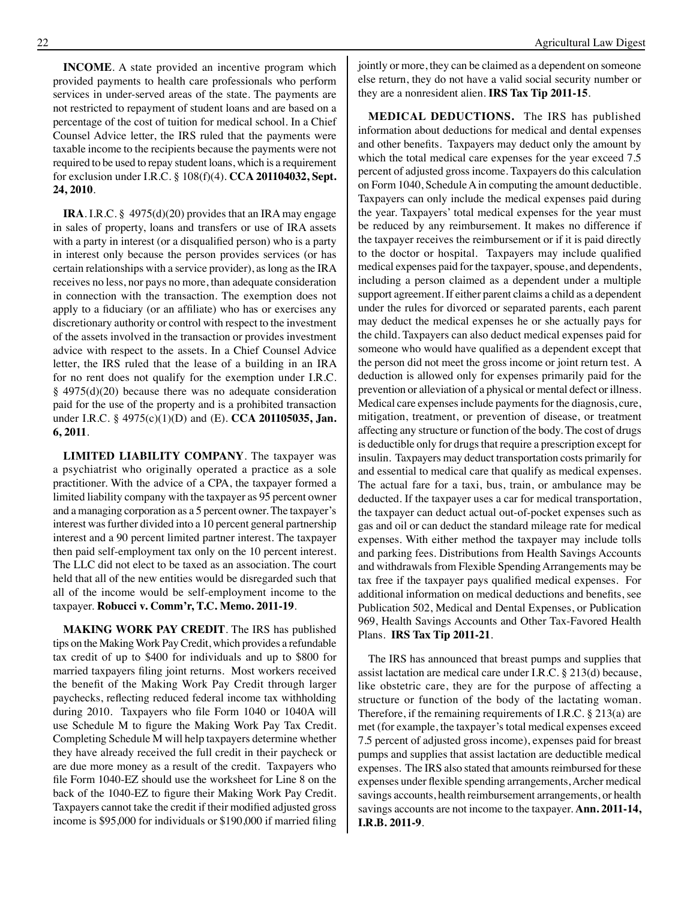**INCOME**. A state provided an incentive program which provided payments to health care professionals who perform services in under-served areas of the state. The payments are not restricted to repayment of student loans and are based on a percentage of the cost of tuition for medical school. In a Chief Counsel Advice letter, the IRS ruled that the payments were taxable income to the recipients because the payments were not required to be used to repay student loans, which is a requirement for exclusion under I.R.C. § 108(f)(4). **CCA 201104032, Sept. 24, 2010**.

**IRA**. I.R.C. § 4975(d)(20) provides that an IRA may engage in sales of property, loans and transfers or use of IRA assets with a party in interest (or a disqualified person) who is a party in interest only because the person provides services (or has certain relationships with a service provider), as long as the IRA receives no less, nor pays no more, than adequate consideration in connection with the transaction. The exemption does not apply to a fiduciary (or an affiliate) who has or exercises any discretionary authority or control with respect to the investment of the assets involved in the transaction or provides investment advice with respect to the assets. In a Chief Counsel Advice letter, the IRS ruled that the lease of a building in an IRA for no rent does not qualify for the exemption under I.R.C. § 4975(d)(20) because there was no adequate consideration paid for the use of the property and is a prohibited transaction under I.R.C. § 4975(c)(1)(D) and (E). **CCA 201105035, Jan. 6, 2011**.

**LIMITED LIABILITY COMPANY**. The taxpayer was a psychiatrist who originally operated a practice as a sole practitioner. With the advice of a CPA, the taxpayer formed a limited liability company with the taxpayer as 95 percent owner and a managing corporation as a 5 percent owner. The taxpayer's interest was further divided into a 10 percent general partnership interest and a 90 percent limited partner interest. The taxpayer then paid self-employment tax only on the 10 percent interest. The LLC did not elect to be taxed as an association. The court held that all of the new entities would be disregarded such that all of the income would be self-employment income to the taxpayer. **Robucci v. Comm'r, T.C. Memo. 2011-19**.

**MAKING WORK PAY CREDIT**. The IRS has published tips on the Making Work Pay Credit, which provides a refundable tax credit of up to \$400 for individuals and up to \$800 for married taxpayers filing joint returns. Most workers received the benefit of the Making Work Pay Credit through larger paychecks, reflecting reduced federal income tax withholding during 2010. Taxpayers who file Form 1040 or 1040A will use Schedule M to figure the Making Work Pay Tax Credit. Completing Schedule M will help taxpayers determine whether they have already received the full credit in their paycheck or are due more money as a result of the credit. Taxpayers who file Form 1040-EZ should use the worksheet for Line 8 on the back of the 1040-EZ to figure their Making Work Pay Credit. Taxpayers cannot take the credit if their modified adjusted gross income is \$95,000 for individuals or \$190,000 if married filing

jointly or more, they can be claimed as a dependent on someone else return, they do not have a valid social security number or they are a nonresident alien. **IRS Tax Tip 2011-15**.

**MEDICAL DEDUCTIONS.** The IRS has published information about deductions for medical and dental expenses and other benefits. Taxpayers may deduct only the amount by which the total medical care expenses for the year exceed 7.5 percent of adjusted gross income. Taxpayers do this calculation on Form 1040, Schedule A in computing the amount deductible. Taxpayers can only include the medical expenses paid during the year. Taxpayers' total medical expenses for the year must be reduced by any reimbursement. It makes no difference if the taxpayer receives the reimbursement or if it is paid directly to the doctor or hospital. Taxpayers may include qualified medical expenses paid for the taxpayer, spouse, and dependents, including a person claimed as a dependent under a multiple support agreement. If either parent claims a child as a dependent under the rules for divorced or separated parents, each parent may deduct the medical expenses he or she actually pays for the child. Taxpayers can also deduct medical expenses paid for someone who would have qualified as a dependent except that the person did not meet the gross income or joint return test. A deduction is allowed only for expenses primarily paid for the prevention or alleviation of a physical or mental defect or illness. Medical care expenses include payments for the diagnosis, cure, mitigation, treatment, or prevention of disease, or treatment affecting any structure or function of the body. The cost of drugs is deductible only for drugs that require a prescription except for insulin. Taxpayers may deduct transportation costs primarily for and essential to medical care that qualify as medical expenses. The actual fare for a taxi, bus, train, or ambulance may be deducted. If the taxpayer uses a car for medical transportation, the taxpayer can deduct actual out-of-pocket expenses such as gas and oil or can deduct the standard mileage rate for medical expenses. With either method the taxpayer may include tolls and parking fees. Distributions from Health Savings Accounts and withdrawals from Flexible Spending Arrangements may be tax free if the taxpayer pays qualified medical expenses. For additional information on medical deductions and benefits, see Publication 502, Medical and Dental Expenses, or Publication 969, Health Savings Accounts and Other Tax-Favored Health Plans. **IRS Tax Tip 2011-21**.

The IRS has announced that breast pumps and supplies that assist lactation are medical care under I.R.C. § 213(d) because, like obstetric care, they are for the purpose of affecting a structure or function of the body of the lactating woman. Therefore, if the remaining requirements of I.R.C. § 213(a) are met (for example, the taxpayer's total medical expenses exceed 7.5 percent of adjusted gross income), expenses paid for breast pumps and supplies that assist lactation are deductible medical expenses. The IRS also stated that amounts reimbursed for these expenses under flexible spending arrangements,Archer medical savings accounts, health reimbursement arrangements, or health savings accounts are not income to the taxpayer. **Ann. 2011-14, I.R.B. 2011-9**.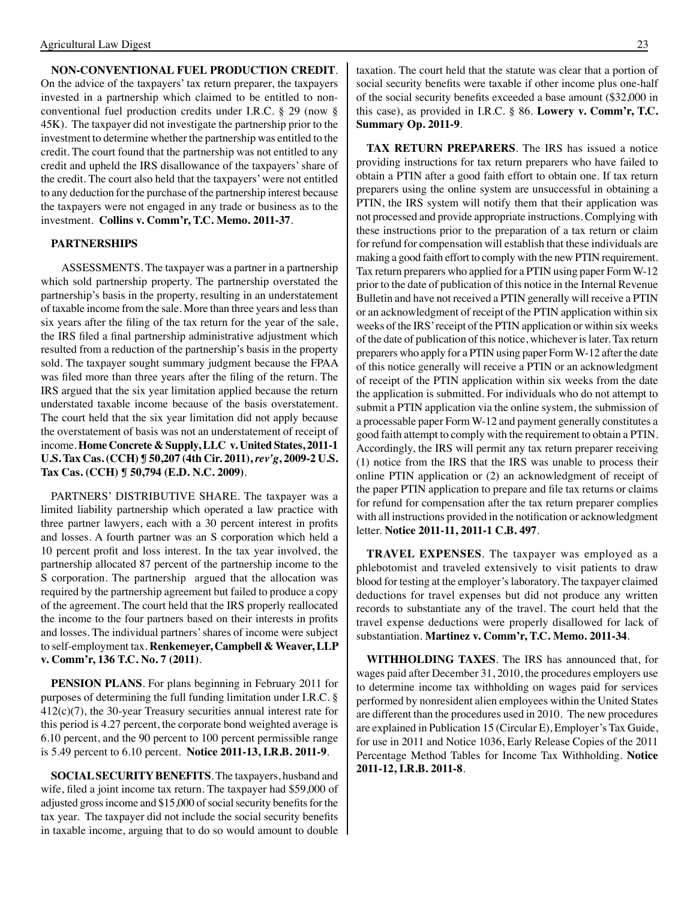**NON-CONVENTIONAL FUEL PRODUCTION CREDIT**. On the advice of the taxpayers' tax return preparer, the taxpayers invested in a partnership which claimed to be entitled to nonconventional fuel production credits under I.R.C. § 29 (now § 45K). The taxpayer did not investigate the partnership prior to the investment to determine whether the partnership was entitled to the credit. The court found that the partnership was not entitled to any credit and upheld the IRS disallowance of the taxpayers' share of the credit. The court also held that the taxpayers' were not entitled to any deduction for the purchase of the partnership interest because the taxpayers were not engaged in any trade or business as to the investment. **Collins v. Comm'r, T.C. Memo. 2011-37**.

#### **PARTNERSHIPS**

ASSESSMENTS. The taxpayer was a partner in a partnership which sold partnership property. The partnership overstated the partnership's basis in the property, resulting in an understatement of taxable income from the sale. More than three years and less than six years after the filing of the tax return for the year of the sale, the IRS filed a final partnership administrative adjustment which resulted from a reduction of the partnership's basis in the property sold. The taxpayer sought summary judgment because the FPAA was filed more than three years after the filing of the return. The IRS argued that the six year limitation applied because the return understated taxable income because of the basis overstatement. The court held that the six year limitation did not apply because the overstatement of basis was not an understatement of receipt of income. **Home Concrete & Supply, LLC v. United States, 2011-1 U.S. Tax Cas. (CCH) ¶ 50,207 (4th Cir. 2011),** *rev'g***, 2009-2 U.S. Tax Cas. (CCH) ¶ 50,794 (E.D. N.C. 2009)**.

PARTNERS' DISTRIBUTIVE SHARE. The taxpayer was a limited liability partnership which operated a law practice with three partner lawyers, each with a 30 percent interest in profits and losses. A fourth partner was an S corporation which held a 10 percent profit and loss interest. In the tax year involved, the partnership allocated 87 percent of the partnership income to the S corporation. The partnership argued that the allocation was required by the partnership agreement but failed to produce a copy of the agreement. The court held that the IRS properly reallocated the income to the four partners based on their interests in profits and losses. The individual partners' shares of income were subject to self-employment tax. **Renkemeyer, Campbell & Weaver, LLP v. Comm'r, 136 T.C. No. 7 (2011)**.

**PENSION PLANS**. For plans beginning in February 2011 for purposes of determining the full funding limitation under I.R.C. § 412(c)(7), the 30-year Treasury securities annual interest rate for this period is 4.27 percent, the corporate bond weighted average is 6.10 percent, and the 90 percent to 100 percent permissible range is 5.49 percent to 6.10 percent. **Notice 2011-13, I.R.B. 2011-9**.

**SOCIAL SECURITY BENEFITS**. The taxpayers, husband and wife, filed a joint income tax return. The taxpayer had \$59,000 of adjusted gross income and \$15,000 of social security benefits for the tax year. The taxpayer did not include the social security benefits in taxable income, arguing that to do so would amount to double taxation. The court held that the statute was clear that a portion of social security benefits were taxable if other income plus one-half of the social security benefits exceeded a base amount (\$32,000 in this case), as provided in I.R.C. § 86. **Lowery v. Comm'r, T.C. Summary Op. 2011-9**.

**TAX RETURN PREPARERS**. The IRS has issued a notice providing instructions for tax return preparers who have failed to obtain a PTIN after a good faith effort to obtain one. If tax return preparers using the online system are unsuccessful in obtaining a PTIN, the IRS system will notify them that their application was not processed and provide appropriate instructions. Complying with these instructions prior to the preparation of a tax return or claim for refund for compensation will establish that these individuals are making a good faith effort to comply with the new PTIN requirement. Tax return preparers who applied for a PTIN using paper Form W-12 prior to the date of publication of this notice in the Internal Revenue Bulletin and have not received a PTIN generally will receive a PTIN or an acknowledgment of receipt of the PTIN application within six weeks of the IRS' receipt of the PTIN application or within six weeks of the date of publication of this notice, whichever is later. Tax return preparers who apply for a PTIN using paper Form W-12 after the date of this notice generally will receive a PTIN or an acknowledgment of receipt of the PTIN application within six weeks from the date the application is submitted. For individuals who do not attempt to submit a PTIN application via the online system, the submission of a processable paper Form W-12 and payment generally constitutes a good faith attempt to comply with the requirement to obtain a PTIN. Accordingly, the IRS will permit any tax return preparer receiving (1) notice from the IRS that the IRS was unable to process their online PTIN application or (2) an acknowledgment of receipt of the paper PTIN application to prepare and file tax returns or claims for refund for compensation after the tax return preparer complies with all instructions provided in the notification or acknowledgment letter. **Notice 2011-11, 2011-1 C.B. 497**.

**TRAVEL EXPENSES**. The taxpayer was employed as a phlebotomist and traveled extensively to visit patients to draw blood for testing at the employer's laboratory. The taxpayer claimed deductions for travel expenses but did not produce any written records to substantiate any of the travel. The court held that the travel expense deductions were properly disallowed for lack of substantiation. **Martinez v. Comm'r, T.C. Memo. 2011-34**.

**WITHHOLDING TAXES**. The IRS has announced that, for wages paid after December 31, 2010, the procedures employers use to determine income tax withholding on wages paid for services performed by nonresident alien employees within the United States are different than the procedures used in 2010. The new procedures are explained in Publication 15 (Circular E), Employer's Tax Guide, for use in 2011 and Notice 1036, Early Release Copies of the 2011 Percentage Method Tables for Income Tax Withholding. **Notice 2011-12, I.R.B. 2011-8**.